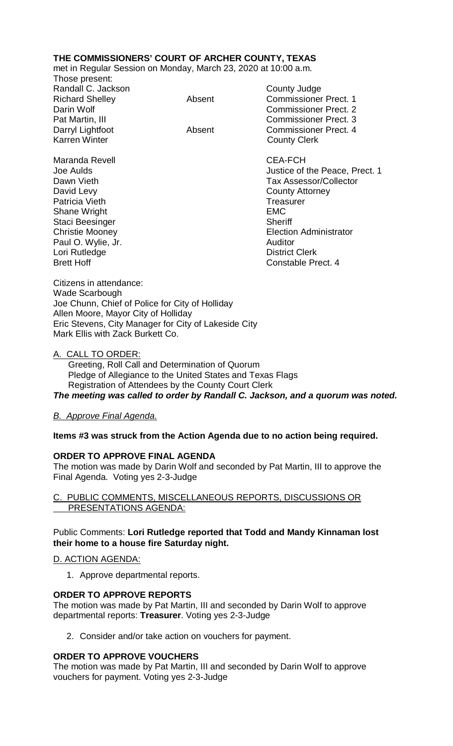# **THE COMMISSIONERS' COURT OF ARCHER COUNTY, TEXAS**

met in Regular Session on Monday, March 23, 2020 at 10:00 a.m.

| Those present:         |        |                              |
|------------------------|--------|------------------------------|
| Randall C. Jackson     |        | County Judge                 |
| <b>Richard Shelley</b> | Absent | <b>Commissioner Prect. 1</b> |
| Darin Wolf             |        | <b>Commissioner Prect. 2</b> |
| Pat Martin, III        |        | <b>Commissioner Prect. 3</b> |
| Darryl Lightfoot       | Absent | <b>Commissioner Prect. 4</b> |
| <b>Karren Winter</b>   |        | <b>County Clerk</b>          |
| Maranda Revell         |        | <b>CEA-FCH</b>               |

David Levy **County Attorney** Patricia Vieth Treasurer Shane Wright **EMC** Staci Beesinger Sheriff Paul O. Wylie, Jr. Auditor Lori Rutledge<br>Brett Hoff

Joe Aulds Justice of the Peace, Prect. 1 Dawn Vieth Tax Assessor/Collector Christie Mooney<br>
Paul O. Wylie, Jr. (2008) 2008 - Christian Administrator<br>
Auditor (2009) 2009 2012 Constable Prect. 4

Citizens in attendance: Wade Scarbough Joe Chunn, Chief of Police for City of Holliday Allen Moore, Mayor City of Holliday Eric Stevens, City Manager for City of Lakeside City Mark Ellis with Zack Burkett Co.

### A. CALL TO ORDER:

 Greeting, Roll Call and Determination of Quorum Pledge of Allegiance to the United States and Texas Flags Registration of Attendees by the County Court Clerk *The meeting was called to order by Randall C. Jackson, and a quorum was noted.*

### *B. Approve Final Agenda.*

### **Items #3 was struck from the Action Agenda due to no action being required.**

# **ORDER TO APPROVE FINAL AGENDA**

The motion was made by Darin Wolf and seconded by Pat Martin, III to approve the Final Agenda. Voting yes 2-3-Judge

### C. PUBLIC COMMENTS, MISCELLANEOUS REPORTS, DISCUSSIONS OR PRESENTATIONS AGENDA:

# Public Comments: **Lori Rutledge reported that Todd and Mandy Kinnaman lost their home to a house fire Saturday night.**

### D. ACTION AGENDA:

1. Approve departmental reports.

### **ORDER TO APPROVE REPORTS**

The motion was made by Pat Martin, III and seconded by Darin Wolf to approve departmental reports: **Treasurer**. Voting yes 2-3-Judge

2. Consider and/or take action on vouchers for payment.

# **ORDER TO APPROVE VOUCHERS**

The motion was made by Pat Martin, III and seconded by Darin Wolf to approve vouchers for payment. Voting yes 2-3-Judge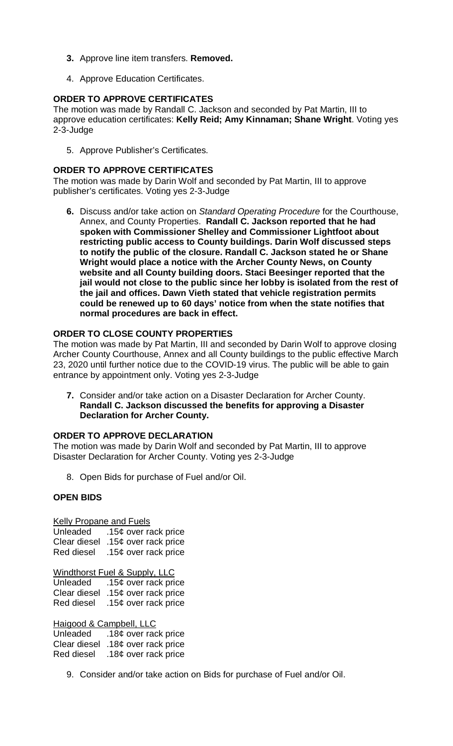- **3.** Approve line item transfers. **Removed.**
- 4. Approve Education Certificates.

# **ORDER TO APPROVE CERTIFICATES**

The motion was made by Randall C. Jackson and seconded by Pat Martin, III to approve education certificates: **Kelly Reid; Amy Kinnaman; Shane Wright**. Voting yes 2-3-Judge

5. Approve Publisher's Certificates.

## **ORDER TO APPROVE CERTIFICATES**

The motion was made by Darin Wolf and seconded by Pat Martin, III to approve publisher's certificates. Voting yes 2-3-Judge

**6.** Discuss and/or take action on *Standard Operating Procedure* for the Courthouse, Annex, and County Properties. **Randall C. Jackson reported that he had spoken with Commissioner Shelley and Commissioner Lightfoot about restricting public access to County buildings. Darin Wolf discussed steps to notify the public of the closure. Randall C. Jackson stated he or Shane Wright would place a notice with the Archer County News, on County website and all County building doors. Staci Beesinger reported that the jail would not close to the public since her lobby is isolated from the rest of the jail and offices. Dawn Vieth stated that vehicle registration permits could be renewed up to 60 days' notice from when the state notifies that normal procedures are back in effect.**

# **ORDER TO CLOSE COUNTY PROPERTIES**

The motion was made by Pat Martin, III and seconded by Darin Wolf to approve closing Archer County Courthouse, Annex and all County buildings to the public effective March 23, 2020 until further notice due to the COVID-19 virus. The public will be able to gain entrance by appointment only. Voting yes 2-3-Judge

**7.** Consider and/or take action on a Disaster Declaration for Archer County. **Randall C. Jackson discussed the benefits for approving a Disaster Declaration for Archer County.**

# **ORDER TO APPROVE DECLARATION**

The motion was made by Darin Wolf and seconded by Pat Martin, III to approve Disaster Declaration for Archer County. Voting yes 2-3-Judge

8. Open Bids for purchase of Fuel and/or Oil.

# **OPEN BIDS**

Kelly Propane and Fuels

Unleaded .15¢ over rack price Clear diesel .15¢ over rack price Red diesel .15¢ over rack price

Windthorst Fuel & Supply, LLC Unleaded .15¢ over rack price Clear diesel .15¢ over rack price Red diesel .15¢ over rack price

Haigood & Campbell, LLC Unleaded .18¢ over rack price Clear diesel .18¢ over rack price Red diesel .18¢ over rack price

9. Consider and/or take action on Bids for purchase of Fuel and/or Oil.